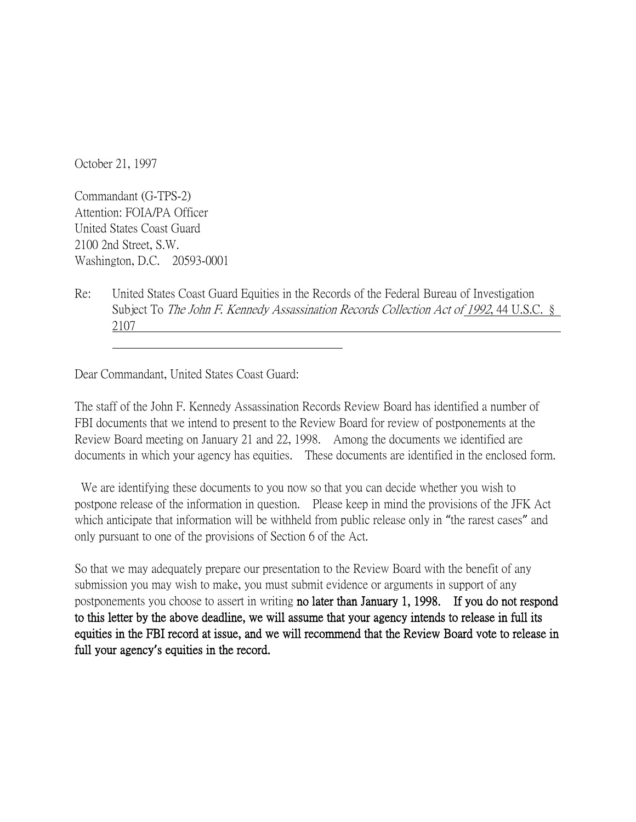October 21, 1997

Commandant (G-TPS-2) Attention: FOIA/PA Officer United States Coast Guard 2100 2nd Street, S.W. Washington, D.C. 20593-0001

Re: United States Coast Guard Equities in the Records of the Federal Bureau of Investigation Subject To The John F. Kennedy Assassination Records Collection Act of 1992, 44 U.S.C. § 2107

Dear Commandant, United States Coast Guard:

The staff of the John F. Kennedy Assassination Records Review Board has identified a number of FBI documents that we intend to present to the Review Board for review of postponements at the Review Board meeting on January 21 and 22, 1998. Among the documents we identified are documents in which your agency has equities. These documents are identified in the enclosed form.

We are identifying these documents to you now so that you can decide whether you wish to postpone release of the information in question. Please keep in mind the provisions of the JFK Act which anticipate that information will be withheld from public release only in "the rarest cases" and only pursuant to one of the provisions of Section 6 of the Act.

So that we may adequately prepare our presentation to the Review Board with the benefit of any submission you may wish to make, you must submit evidence or arguments in support of any postponements you choose to assert in writing no later than January 1, 1998. If you do not respond to this letter by the above deadline, we will assume that your agency intends to release in full its equities in the FBI record at issue, and we will recommend that the Review Board vote to release in full your agency**'**s equities in the record.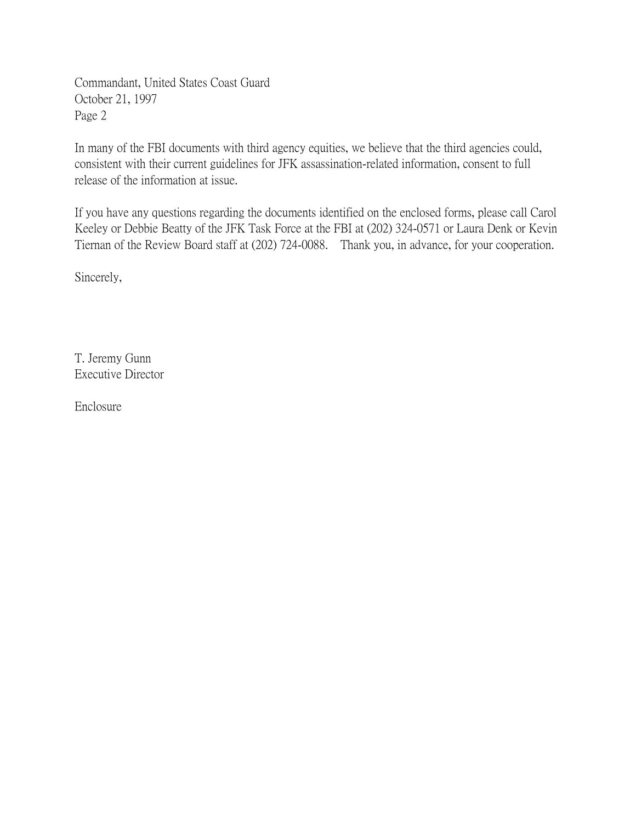Commandant, United States Coast Guard October 21, 1997 Page 2

In many of the FBI documents with third agency equities, we believe that the third agencies could, consistent with their current guidelines for JFK assassination-related information, consent to full release of the information at issue.

If you have any questions regarding the documents identified on the enclosed forms, please call Carol Keeley or Debbie Beatty of the JFK Task Force at the FBI at (202) 324-0571 or Laura Denk or Kevin Tiernan of the Review Board staff at (202) 724-0088. Thank you, in advance, for your cooperation.

Sincerely,

T. Jeremy Gunn Executive Director

Enclosure